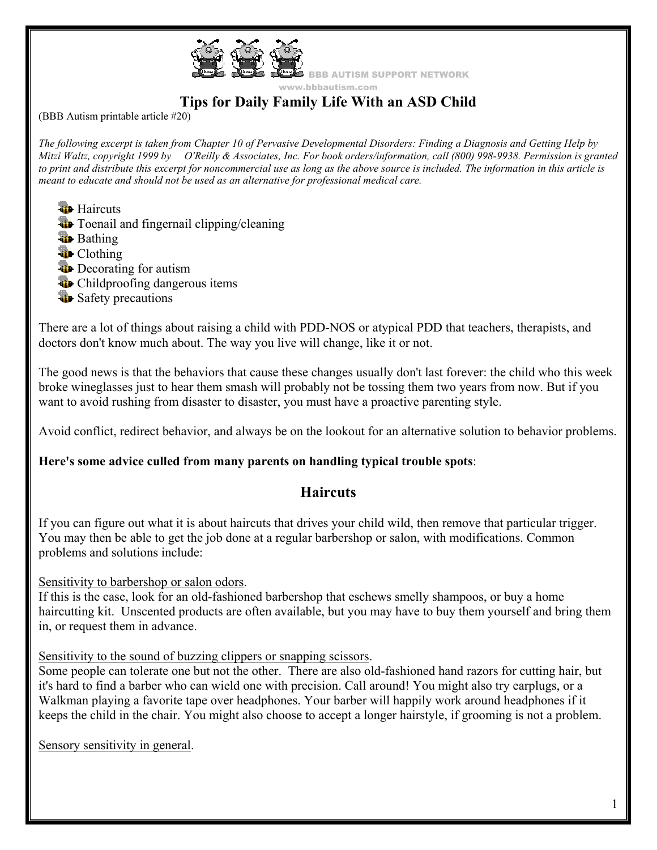

www.bbbautism.com

BBB AUTISM SUPPORT NETWORK

# **Tips for Daily Family Life With an ASD Child**

(BBB Autism printable article #20)

*The following excerpt is taken from Chapter 10 of Pervasive Developmental Disorders: Finding a Diagnosis and Getting Help by Mitzi Waltz, copyright 1999 by O'Reilly & Associates, Inc. For book orders/information, call (800) 998-9938. Permission is granted to print and distribute this excerpt for noncommercial use as long as the above source is included. The information in this article is meant to educate and should not be used as an alternative for professional medical care.* 

**Haircuts** 

- **T** Toenail and fingernail clipping/cleaning
- **Bathing**
- **Clothing**
- **Decorating for autism**
- **T** Childproofing dangerous items
- Safety precautions

There are a lot of things about raising a child with PDD-NOS or atypical PDD that teachers, therapists, and doctors don't know much about. The way you live will change, like it or not.

The good news is that the behaviors that cause these changes usually don't last forever: the child who this week broke wineglasses just to hear them smash will probably not be tossing them two years from now. But if you want to avoid rushing from disaster to disaster, you must have a proactive parenting style.

Avoid conflict, redirect behavior, and always be on the lookout for an alternative solution to behavior problems.

### **Here's some advice culled from many parents on handling typical trouble spots**:

## **Haircuts**

If you can figure out what it is about haircuts that drives your child wild, then remove that particular trigger. You may then be able to get the job done at a regular barbershop or salon, with modifications. Common problems and solutions include:

#### Sensitivity to barbershop or salon odors.

If this is the case, look for an old-fashioned barbershop that eschews smelly shampoos, or buy a home haircutting kit. Unscented products are often available, but you may have to buy them yourself and bring them in, or request them in advance.

Sensitivity to the sound of buzzing clippers or snapping scissors.

Some people can tolerate one but not the other. There are also old-fashioned hand razors for cutting hair, but it's hard to find a barber who can wield one with precision. Call around! You might also try earplugs, or a Walkman playing a favorite tape over headphones. Your barber will happily work around headphones if it keeps the child in the chair. You might also choose to accept a longer hairstyle, if grooming is not a problem.

Sensory sensitivity in general.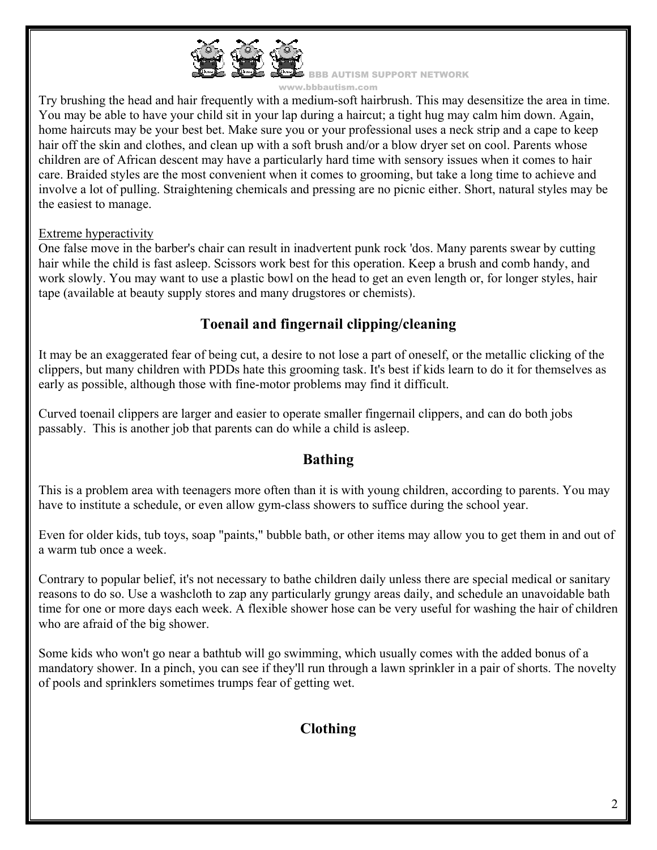

w.bbbautism.com

**BBB AUTISM SUPPORT NETWORK** 

Try brushing the head and hair frequently with a medium-soft hairbrush. This may desensitize the area in time. You may be able to have your child sit in your lap during a haircut; a tight hug may calm him down. Again, home haircuts may be your best bet. Make sure you or your professional uses a neck strip and a cape to keep hair off the skin and clothes, and clean up with a soft brush and/or a blow dryer set on cool. Parents whose children are of African descent may have a particularly hard time with sensory issues when it comes to hair care. Braided styles are the most convenient when it comes to grooming, but take a long time to achieve and involve a lot of pulling. Straightening chemicals and pressing are no picnic either. Short, natural styles may be the easiest to manage.

#### Extreme hyperactivity

One false move in the barber's chair can result in inadvertent punk rock 'dos. Many parents swear by cutting hair while the child is fast asleep. Scissors work best for this operation. Keep a brush and comb handy, and work slowly. You may want to use a plastic bowl on the head to get an even length or, for longer styles, hair tape (available at beauty supply stores and many drugstores or chemists).

## **Toenail and fingernail clipping/cleaning**

It may be an exaggerated fear of being cut, a desire to not lose a part of oneself, or the metallic clicking of the clippers, but many children with PDDs hate this grooming task. It's best if kids learn to do it for themselves as early as possible, although those with fine-motor problems may find it difficult.

Curved toenail clippers are larger and easier to operate smaller fingernail clippers, and can do both jobs passably. This is another job that parents can do while a child is asleep.

## **Bathing**

This is a problem area with teenagers more often than it is with young children, according to parents. You may have to institute a schedule, or even allow gym-class showers to suffice during the school year.

Even for older kids, tub toys, soap "paints," bubble bath, or other items may allow you to get them in and out of a warm tub once a week.

Contrary to popular belief, it's not necessary to bathe children daily unless there are special medical or sanitary reasons to do so. Use a washcloth to zap any particularly grungy areas daily, and schedule an unavoidable bath time for one or more days each week. A flexible shower hose can be very useful for washing the hair of children who are afraid of the big shower.

Some kids who won't go near a bathtub will go swimming, which usually comes with the added bonus of a mandatory shower. In a pinch, you can see if they'll run through a lawn sprinkler in a pair of shorts. The novelty of pools and sprinklers sometimes trumps fear of getting wet.

# **Clothing**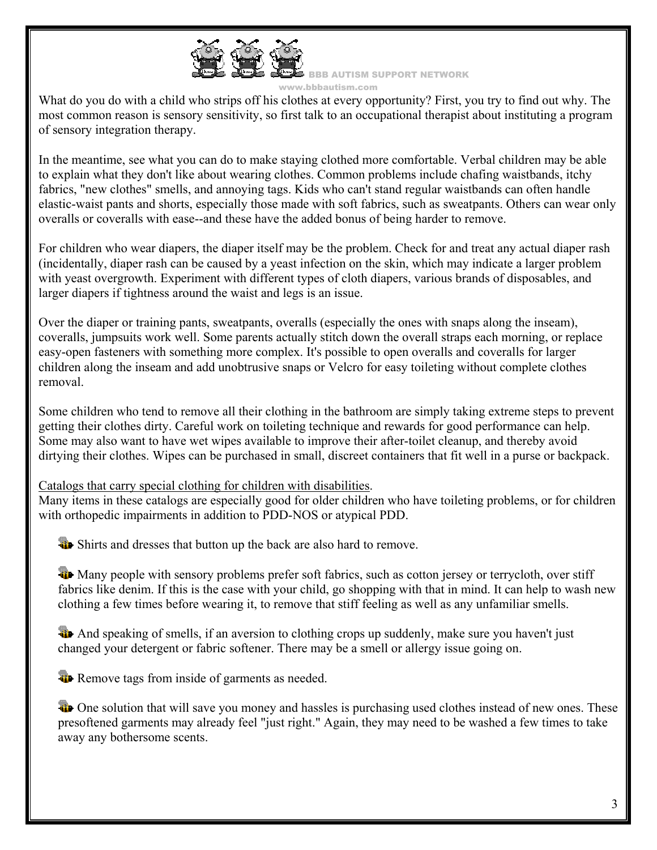

v.bbbautism.com

What do you do with a child who strips off his clothes at every opportunity? First, you try to find out why. The most common reason is sensory sensitivity, so first talk to an occupational therapist about instituting a program of sensory integration therapy.

In the meantime, see what you can do to make staying clothed more comfortable. Verbal children may be able to explain what they don't like about wearing clothes. Common problems include chafing waistbands, itchy fabrics, "new clothes" smells, and annoying tags. Kids who can't stand regular waistbands can often handle elastic-waist pants and shorts, especially those made with soft fabrics, such as sweatpants. Others can wear only overalls or coveralls with ease--and these have the added bonus of being harder to remove.

For children who wear diapers, the diaper itself may be the problem. Check for and treat any actual diaper rash (incidentally, diaper rash can be caused by a yeast infection on the skin, which may indicate a larger problem with yeast overgrowth. Experiment with different types of cloth diapers, various brands of disposables, and larger diapers if tightness around the waist and legs is an issue.

Over the diaper or training pants, sweatpants, overalls (especially the ones with snaps along the inseam), coveralls, jumpsuits work well. Some parents actually stitch down the overall straps each morning, or replace easy-open fasteners with something more complex. It's possible to open overalls and coveralls for larger children along the inseam and add unobtrusive snaps or Velcro for easy toileting without complete clothes removal.

Some children who tend to remove all their clothing in the bathroom are simply taking extreme steps to prevent getting their clothes dirty. Careful work on toileting technique and rewards for good performance can help. Some may also want to have wet wipes available to improve their after-toilet cleanup, and thereby avoid dirtying their clothes. Wipes can be purchased in small, discreet containers that fit well in a purse or backpack.

### Catalogs that carry special clothing for children with disabilities.

Many items in these catalogs are especially good for older children who have toileting problems, or for children with orthopedic impairments in addition to PDD-NOS or atypical PDD.

Shirts and dresses that button up the back are also hard to remove.

 Many people with sensory problems prefer soft fabrics, such as cotton jersey or terrycloth, over stiff fabrics like denim. If this is the case with your child, go shopping with that in mind. It can help to wash new clothing a few times before wearing it, to remove that stiff feeling as well as any unfamiliar smells.

And speaking of smells, if an aversion to clothing crops up suddenly, make sure you haven't just changed your detergent or fabric softener. There may be a smell or allergy issue going on.

**Remove tags from inside of garments as needed.** 

 One solution that will save you money and hassles is purchasing used clothes instead of new ones. These presoftened garments may already feel "just right." Again, they may need to be washed a few times to take away any bothersome scents.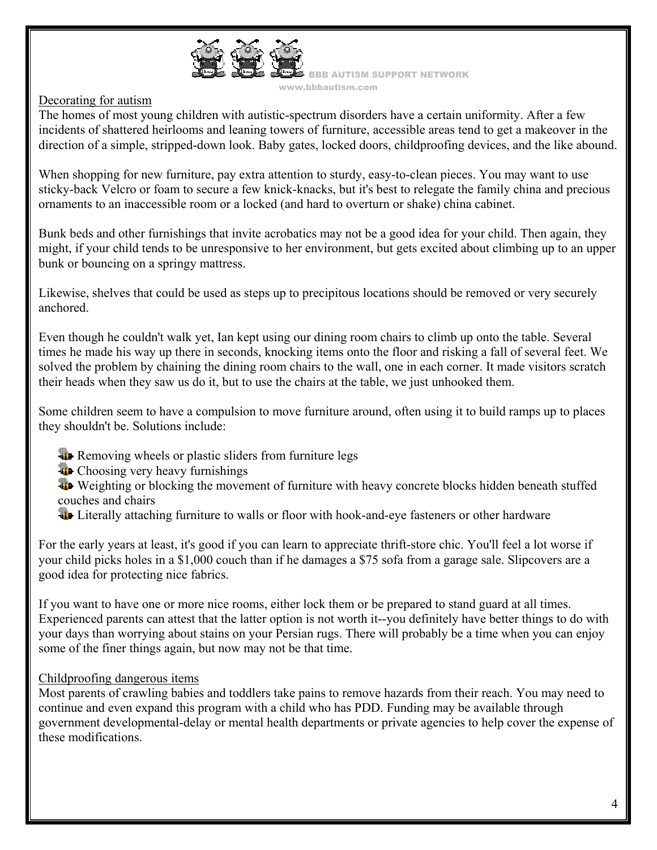

BBB AUTISM SUPPORT NETWORK www.bbbautism.com

### Decorating for autism

The homes of most young children with autistic-spectrum disorders have a certain uniformity. After a few incidents of shattered heirlooms and leaning towers of furniture, accessible areas tend to get a makeover in the direction of a simple, stripped-down look. Baby gates, locked doors, childproofing devices, and the like abound.

When shopping for new furniture, pay extra attention to sturdy, easy-to-clean pieces. You may want to use sticky-back Velcro or foam to secure a few knick-knacks, but it's best to relegate the family china and precious ornaments to an inaccessible room or a locked (and hard to overturn or shake) china cabinet.

Bunk beds and other furnishings that invite acrobatics may not be a good idea for your child. Then again, they might, if your child tends to be unresponsive to her environment, but gets excited about climbing up to an upper bunk or bouncing on a springy mattress.

Likewise, shelves that could be used as steps up to precipitous locations should be removed or very securely anchored.

Even though he couldn't walk yet, Ian kept using our dining room chairs to climb up onto the table. Several times he made his way up there in seconds, knocking items onto the floor and risking a fall of several feet. We solved the problem by chaining the dining room chairs to the wall, one in each corner. It made visitors scratch their heads when they saw us do it, but to use the chairs at the table, we just unhooked them.

Some children seem to have a compulsion to move furniture around, often using it to build ramps up to places they shouldn't be. Solutions include:

- **Removing wheels or plastic sliders from furniture legs**
- **T** Choosing very heavy furnishings

Weighting or blocking the movement of furniture with heavy concrete blocks hidden beneath stuffed couches and chairs

Literally attaching furniture to walls or floor with hook-and-eye fasteners or other hardware

For the early years at least, it's good if you can learn to appreciate thrift-store chic. You'll feel a lot worse if your child picks holes in a \$1,000 couch than if he damages a \$75 sofa from a garage sale. Slipcovers are a good idea for protecting nice fabrics.

If you want to have one or more nice rooms, either lock them or be prepared to stand guard at all times. Experienced parents can attest that the latter option is not worth it--you definitely have better things to do with your days than worrying about stains on your Persian rugs. There will probably be a time when you can enjoy some of the finer things again, but now may not be that time.

## Childproofing dangerous items

Most parents of crawling babies and toddlers take pains to remove hazards from their reach. You may need to continue and even expand this program with a child who has PDD. Funding may be available through government developmental-delay or mental health departments or private agencies to help cover the expense of these modifications.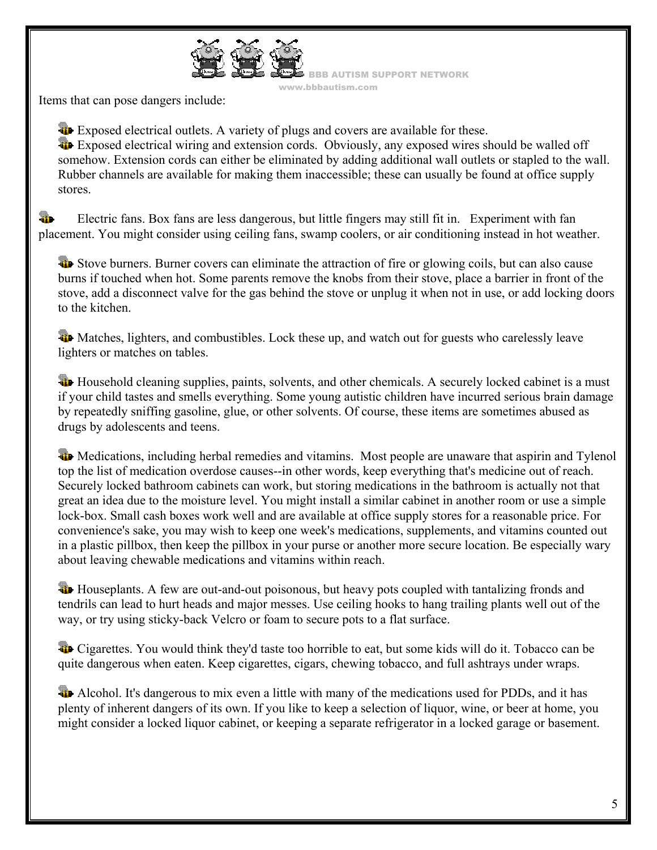

BBB AUTISM SUPPORT NETWORK www.bbbautism.com

Items that can pose dangers include:

 Exposed electrical outlets. A variety of plugs and covers are available for these. Exposed electrical wiring and extension cords. Obviously, any exposed wires should be walled off somehow. Extension cords can either be eliminated by adding additional wall outlets or stapled to the wall. Rubber channels are available for making them inaccessible; these can usually be found at office supply stores.

Electric fans. Box fans are less dangerous, but little fingers may still fit in. Experiment with fan placement. You might consider using ceiling fans, swamp coolers, or air conditioning instead in hot weather.

 Stove burners. Burner covers can eliminate the attraction of fire or glowing coils, but can also cause burns if touched when hot. Some parents remove the knobs from their stove, place a barrier in front of the stove, add a disconnect valve for the gas behind the stove or unplug it when not in use, or add locking doors to the kitchen.

**W** Matches, lighters, and combustibles. Lock these up, and watch out for guests who carelessly leave lighters or matches on tables.

 Household cleaning supplies, paints, solvents, and other chemicals. A securely locked cabinet is a must if your child tastes and smells everything. Some young autistic children have incurred serious brain damage by repeatedly sniffing gasoline, glue, or other solvents. Of course, these items are sometimes abused as drugs by adolescents and teens.

**The** Medications, including herbal remedies and vitamins. Most people are unaware that aspirin and Tylenol top the list of medication overdose causes--in other words, keep everything that's medicine out of reach. Securely locked bathroom cabinets can work, but storing medications in the bathroom is actually not that great an idea due to the moisture level. You might install a similar cabinet in another room or use a simple lock-box. Small cash boxes work well and are available at office supply stores for a reasonable price. For convenience's sake, you may wish to keep one week's medications, supplements, and vitamins counted out in a plastic pillbox, then keep the pillbox in your purse or another more secure location. Be especially wary about leaving chewable medications and vitamins within reach.

 Houseplants. A few are out-and-out poisonous, but heavy pots coupled with tantalizing fronds and tendrils can lead to hurt heads and major messes. Use ceiling hooks to hang trailing plants well out of the way, or try using sticky-back Velcro or foam to secure pots to a flat surface.

 Cigarettes. You would think they'd taste too horrible to eat, but some kids will do it. Tobacco can be quite dangerous when eaten. Keep cigarettes, cigars, chewing tobacco, and full ashtrays under wraps.

**Example 1** Alcohol. It's dangerous to mix even a little with many of the medications used for PDDs, and it has plenty of inherent dangers of its own. If you like to keep a selection of liquor, wine, or beer at home, you might consider a locked liquor cabinet, or keeping a separate refrigerator in a locked garage or basement.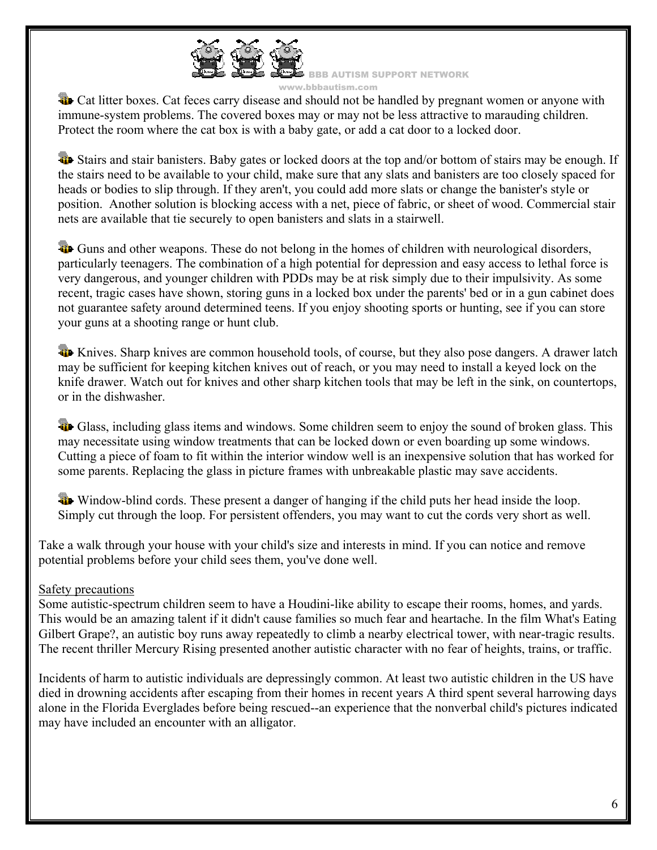

v.bbbautism.com

**BBB AUTISM SUPPORT NETWORK** 

**The Cat litter boxes. Cat feces carry disease and should not be handled by pregnant women or anyone with** immune-system problems. The covered boxes may or may not be less attractive to marauding children. Protect the room where the cat box is with a baby gate, or add a cat door to a locked door.

 Stairs and stair banisters. Baby gates or locked doors at the top and/or bottom of stairs may be enough. If the stairs need to be available to your child, make sure that any slats and banisters are too closely spaced for heads or bodies to slip through. If they aren't, you could add more slats or change the banister's style or position. Another solution is blocking access with a net, piece of fabric, or sheet of wood. Commercial stair nets are available that tie securely to open banisters and slats in a stairwell.

 Guns and other weapons. These do not belong in the homes of children with neurological disorders, particularly teenagers. The combination of a high potential for depression and easy access to lethal force is very dangerous, and younger children with PDDs may be at risk simply due to their impulsivity. As some recent, tragic cases have shown, storing guns in a locked box under the parents' bed or in a gun cabinet does not guarantee safety around determined teens. If you enjoy shooting sports or hunting, see if you can store your guns at a shooting range or hunt club.

 Knives. Sharp knives are common household tools, of course, but they also pose dangers. A drawer latch may be sufficient for keeping kitchen knives out of reach, or you may need to install a keyed lock on the knife drawer. Watch out for knives and other sharp kitchen tools that may be left in the sink, on countertops, or in the dishwasher.

Glass, including glass items and windows. Some children seem to enjoy the sound of broken glass. This may necessitate using window treatments that can be locked down or even boarding up some windows. Cutting a piece of foam to fit within the interior window well is an inexpensive solution that has worked for some parents. Replacing the glass in picture frames with unbreakable plastic may save accidents.

Window-blind cords. These present a danger of hanging if the child puts her head inside the loop. Simply cut through the loop. For persistent offenders, you may want to cut the cords very short as well.

Take a walk through your house with your child's size and interests in mind. If you can notice and remove potential problems before your child sees them, you've done well.

#### Safety precautions

Some autistic-spectrum children seem to have a Houdini-like ability to escape their rooms, homes, and yards. This would be an amazing talent if it didn't cause families so much fear and heartache. In the film What's Eating Gilbert Grape?, an autistic boy runs away repeatedly to climb a nearby electrical tower, with near-tragic results. The recent thriller Mercury Rising presented another autistic character with no fear of heights, trains, or traffic.

Incidents of harm to autistic individuals are depressingly common. At least two autistic children in the US have died in drowning accidents after escaping from their homes in recent years A third spent several harrowing days alone in the Florida Everglades before being rescued--an experience that the nonverbal child's pictures indicated may have included an encounter with an alligator.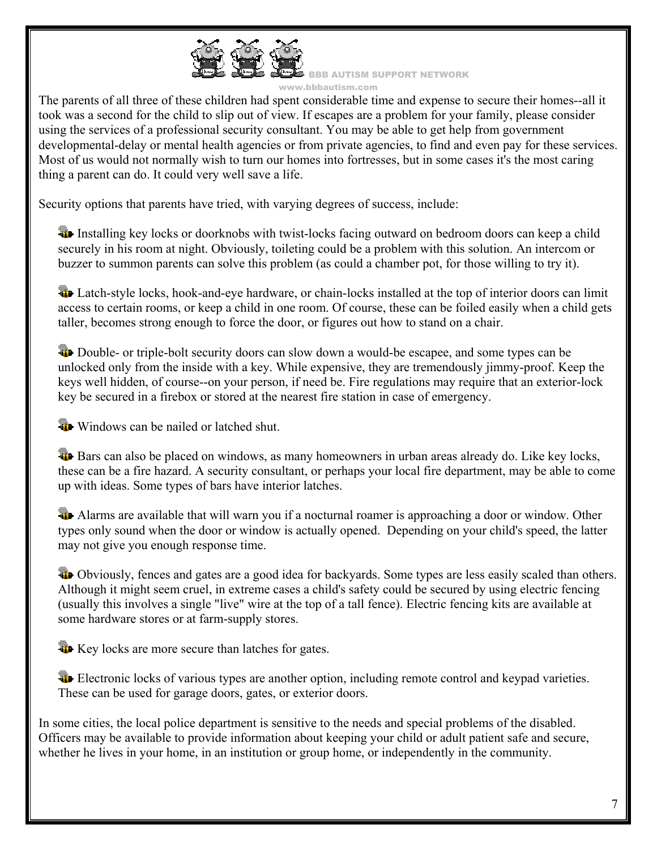

w.bbbautism.com

BBB AUTISM SUPPORT NETWORK

The parents of all three of these children had spent considerable time and expense to secure their homes--all it took was a second for the child to slip out of view. If escapes are a problem for your family, please consider using the services of a professional security consultant. You may be able to get help from government developmental-delay or mental health agencies or from private agencies, to find and even pay for these services. Most of us would not normally wish to turn our homes into fortresses, but in some cases it's the most caring thing a parent can do. It could very well save a life.

Security options that parents have tried, with varying degrees of success, include:

Installing key locks or doorknobs with twist-locks facing outward on bedroom doors can keep a child securely in his room at night. Obviously, toileting could be a problem with this solution. An intercom or buzzer to summon parents can solve this problem (as could a chamber pot, for those willing to try it).

 Latch-style locks, hook-and-eye hardware, or chain-locks installed at the top of interior doors can limit access to certain rooms, or keep a child in one room. Of course, these can be foiled easily when a child gets taller, becomes strong enough to force the door, or figures out how to stand on a chair.

Double- or triple-bolt security doors can slow down a would-be escapee, and some types can be unlocked only from the inside with a key. While expensive, they are tremendously jimmy-proof. Keep the keys well hidden, of course--on your person, if need be. Fire regulations may require that an exterior-lock key be secured in a firebox or stored at the nearest fire station in case of emergency.

Windows can be nailed or latched shut.

Bars can also be placed on windows, as many homeowners in urban areas already do. Like key locks, these can be a fire hazard. A security consultant, or perhaps your local fire department, may be able to come up with ideas. Some types of bars have interior latches.

 Alarms are available that will warn you if a nocturnal roamer is approaching a door or window. Other types only sound when the door or window is actually opened. Depending on your child's speed, the latter may not give you enough response time.

 Obviously, fences and gates are a good idea for backyards. Some types are less easily scaled than others. Although it might seem cruel, in extreme cases a child's safety could be secured by using electric fencing (usually this involves a single "live" wire at the top of a tall fence). Electric fencing kits are available at some hardware stores or at farm-supply stores.

Key locks are more secure than latches for gates.

 Electronic locks of various types are another option, including remote control and keypad varieties. These can be used for garage doors, gates, or exterior doors.

In some cities, the local police department is sensitive to the needs and special problems of the disabled. Officers may be available to provide information about keeping your child or adult patient safe and secure, whether he lives in your home, in an institution or group home, or independently in the community.